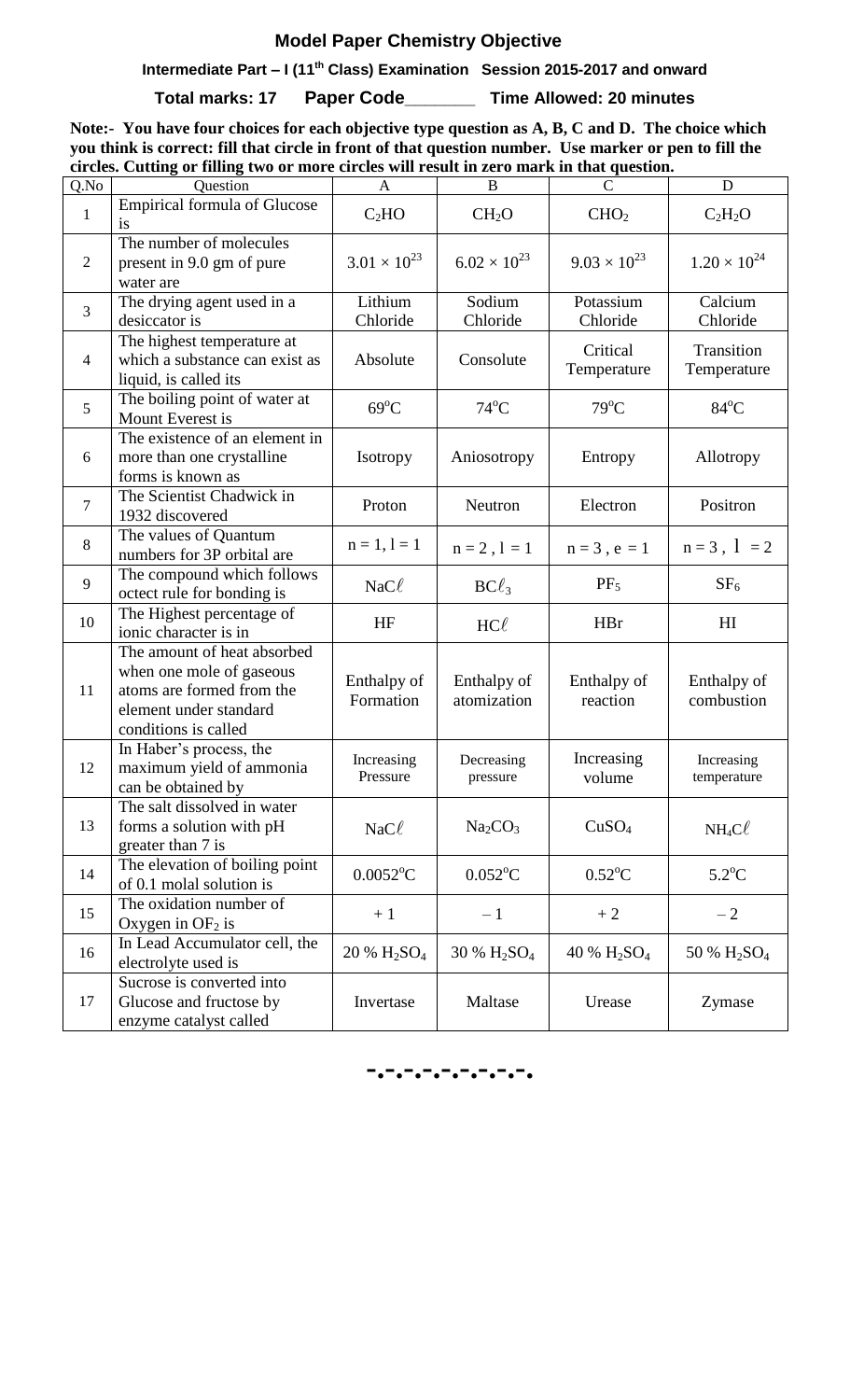# **Model Paper Chemistry Objective**

 **Intermediate Part – I (11th Class) Examination Session 2015-2017 and onward**

**Total marks: 17 Paper Code\_\_\_\_\_\_\_ Time Allowed: 20 minutes**

**Note:- You have four choices for each objective type question as A, B, C and D. The choice which you think is correct: fill that circle in front of that question number. Use marker or pen to fill the circles. Cutting or filling two or more circles will result in zero mark in that question.**

| Q.No           | of thing two of more energy will result in zero much in thut question.<br>Question                                                     | A                             | $\bf{B}$                            |                                     | D                         |
|----------------|----------------------------------------------------------------------------------------------------------------------------------------|-------------------------------|-------------------------------------|-------------------------------------|---------------------------|
| $\mathbf{1}$   | Empirical formula of Glucose<br><i>is</i>                                                                                              | C <sub>2</sub> HO             | CH <sub>2</sub> O                   | CHO <sub>2</sub>                    | $C_2H_2O$                 |
| $\overline{2}$ | The number of molecules<br>present in 9.0 gm of pure<br>water are                                                                      | $3.01 \times 10^{23}$         | $6.02 \times 10^{23}$               | $9.03 \times 10^{23}$               | $1.20 \times 10^{24}$     |
| 3              | The drying agent used in a<br>desiccator is                                                                                            | Lithium<br>Chloride           | Sodium<br>Chloride                  | Potassium<br>Chloride               | Calcium<br>Chloride       |
| $\overline{4}$ | The highest temperature at<br>which a substance can exist as<br>liquid, is called its                                                  | Absolute                      | Consolute                           | Critical<br>Temperature             | Transition<br>Temperature |
| 5              | The boiling point of water at<br>Mount Everest is                                                                                      | $69^{\circ}$ C                | $74^{\circ}$ C                      | $79^{\circ}$ C                      | $84^{\circ}$ C            |
| 6              | The existence of an element in<br>more than one crystalline<br>forms is known as                                                       | Isotropy                      | Aniosotropy                         | Entropy                             | Allotropy                 |
| $\overline{7}$ | The Scientist Chadwick in<br>1932 discovered                                                                                           | Proton                        | Neutron                             | Electron                            | Positron                  |
| 8              | The values of Quantum<br>numbers for 3P orbital are                                                                                    | $n = 1, l = 1$                | $n = 2, l = 1$                      | $n = 3$ , $e = 1$                   | $n = 3$ , $1 = 2$         |
| 9              | The compound which follows<br>octect rule for bonding is                                                                               | $NaC\ell$                     | $BC\ell_3$                          | $PF_5$                              | SF <sub>6</sub>           |
| 10             | The Highest percentage of<br>ionic character is in                                                                                     | HF                            | $HC\ell$                            | <b>HBr</b>                          | H <sub>I</sub>            |
| 11             | The amount of heat absorbed<br>when one mole of gaseous<br>atoms are formed from the<br>element under standard<br>conditions is called | Enthalpy of<br>Formation      | Enthalpy of<br>atomization          | Enthalpy of<br>reaction             | Enthalpy of<br>combustion |
| 12             | In Haber's process, the<br>maximum yield of ammonia<br>can be obtained by                                                              | Increasing<br>Pressure        | Decreasing<br>pressure              | Increasing<br>volume                | Increasing<br>temperature |
| 13             | The salt dissolved in water<br>forms a solution with pH<br>greater than 7 is                                                           | $NaC\ell$                     | Na <sub>2</sub> CO <sub>3</sub>     | CuSO <sub>4</sub>                   | $NH_4C\ell$               |
| 14             | The elevation of boiling point<br>of 0.1 molal solution is                                                                             | $0.0052$ <sup>o</sup> C       | $0.052$ <sup>o</sup> C              | $0.52^{\circ}$ C                    | $5.2^{\circ}$ C           |
| 15             | The oxidation number of<br>Oxygen in $OF2$ is                                                                                          | $+1$                          | $-1$                                | $+2$                                | $-2$                      |
| 16             | In Lead Accumulator cell, the<br>electrolyte used is                                                                                   | $20\% \text{ H}_2\text{SO}_4$ | 30 % H <sub>2</sub> SO <sub>4</sub> | 40 % H <sub>2</sub> SO <sub>4</sub> | 50 % $H_2SO_4$            |
| 17             | Sucrose is converted into<br>Glucose and fructose by<br>enzyme catalyst called                                                         | Invertase                     | Maltase                             | Urease                              | Zymase                    |

**-.-.-.-.-.-.-.-.-.**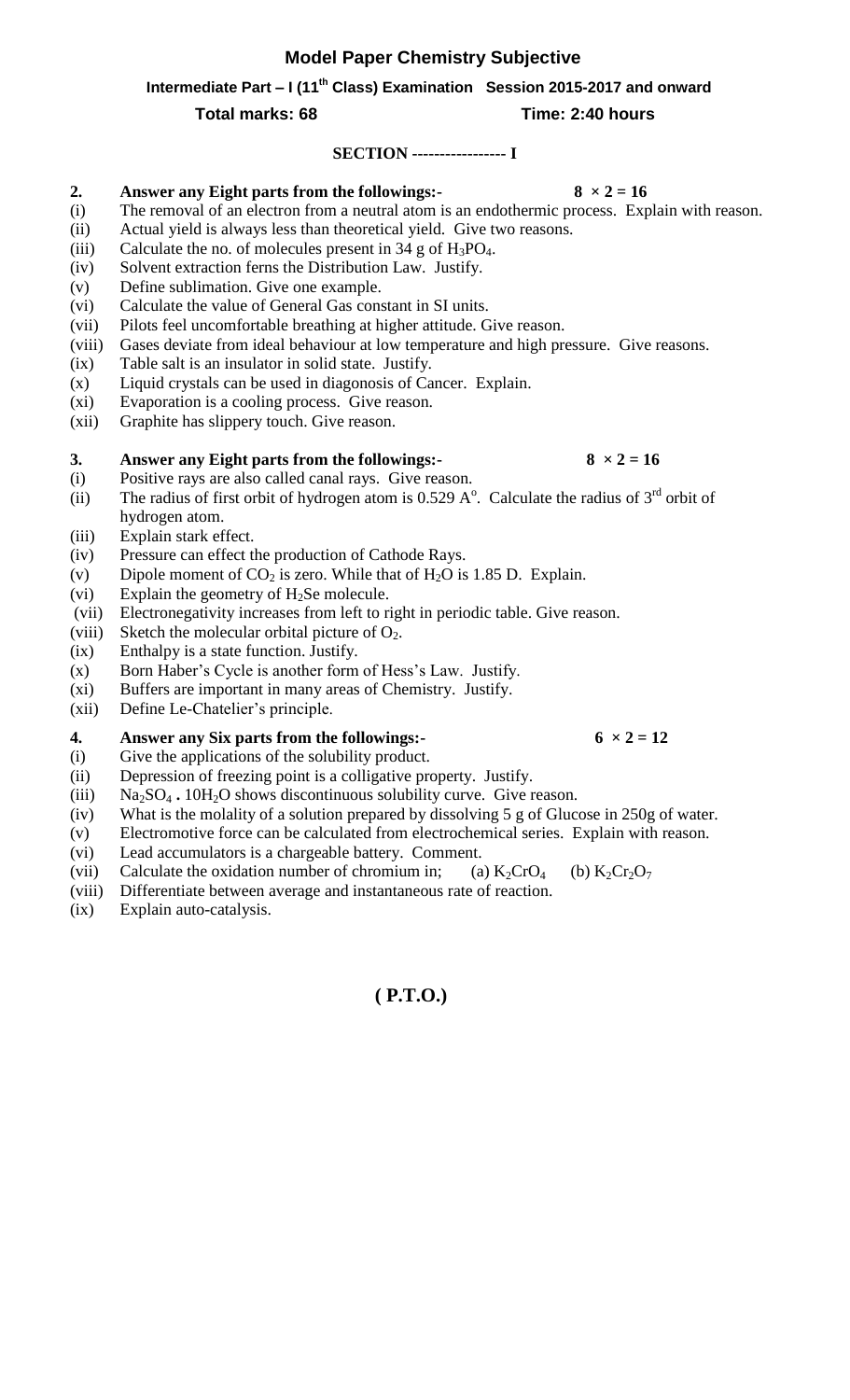## **Model Paper Chemistry Subjective**

 **Intermediate Part – I (11th Class) Examination Session 2015-2017 and onward**

### **Total marks: 68 Time: 2:40 hours**

#### **SECTION ----------------- I**

#### **2. Answer any Eight parts from the followings:-**  $8 \times 2 = 16$

- (i) The removal of an electron from a neutral atom is an endothermic process. Explain with reason.
- (ii) Actual yield is always less than theoretical yield. Give two reasons.
- (iii) Calculate the no. of molecules present in  $34$  g of  $H_3PO_4$ .
- (iv) Solvent extraction ferns the Distribution Law. Justify.
- (v) Define sublimation. Give one example.
- (vi) Calculate the value of General Gas constant in SI units.
- (vii) Pilots feel uncomfortable breathing at higher attitude. Give reason.
- (viii) Gases deviate from ideal behaviour at low temperature and high pressure. Give reasons.
- (ix) Table salt is an insulator in solid state. Justify.
- (x) Liquid crystals can be used in diagonosis of Cancer. Explain.
- (xi) Evaporation is a cooling process. Give reason.
- (xii) Graphite has slippery touch. Give reason.

#### **3. Answer any Eight parts from the followings:-**  $8 \times 2 = 16$

- (i) Positive rays are also called canal rays. Give reason.
- (ii) The radius of first orbit of hydrogen atom is 0.529  $A^{\circ}$ . Calculate the radius of 3<sup>rd</sup> orbit of hydrogen atom.
- (iii) Explain stark effect.
- (iv) Pressure can effect the production of Cathode Rays.
- (v) Dipole moment of  $CO_2$  is zero. While that of H<sub>2</sub>O is 1.85 D. Explain.
- (vi) Explain the geometry of  $H_2$ Se molecule.
- (vii) Electronegativity increases from left to right in periodic table. Give reason.
- (viii) Sketch the molecular orbital picture of  $O_2$ .
- (ix) Enthalpy is a state function. Justify.
- (x) Born Haber's Cycle is another form of Hess's Law. Justify.
- (xi) Buffers are important in many areas of Chemistry. Justify.
- (xii) Define Le-Chatelier's principle.

#### **4. Answer any Six parts from the followings:**  $6 \times 2 = 12$

- (i) Give the applications of the solubility product.
- (ii) Depression of freezing point is a colligative property. Justify.
- (iii) Na<sub>2</sub>SO<sub>4</sub> **.** 10H<sub>2</sub>O shows discontinuous solubility curve. Give reason.
- (iv) What is the molality of a solution prepared by dissolving 5 g of Glucose in 250g of water.
- (v) Electromotive force can be calculated from electrochemical series. Explain with reason.
- (vi) Lead accumulators is a chargeable battery. Comment.
- (vii) Calculate the oxidation number of chromium in; (a)  $K_2CrO_4$  (b)  $K_2Cr_2O_7$
- (viii) Differentiate between average and instantaneous rate of reaction.
- (ix) Explain auto-catalysis.

# **( P.T.O.)**